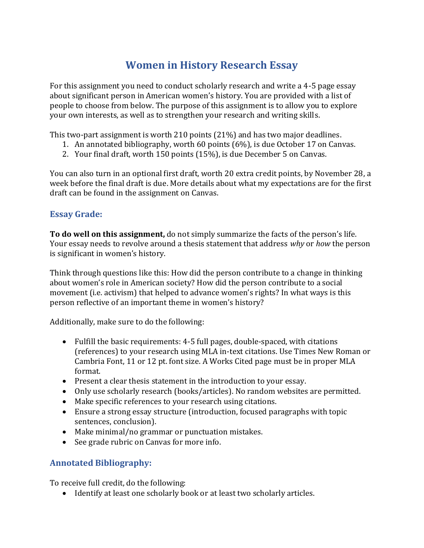## **Women in History Research Essay**

For this assignment you need to conduct scholarly research and write a 4-5 page essay about significant person in American women's history. You are provided with a list of people to choose from below. The purpose of this assignment is to allow you to explore your own interests, as well as to strengthen your research and writing skills.

This two-part assignment is worth 210 points (21%) and has two major deadlines.

- 1. An annotated bibliography, worth 60 points (6%), is due October 17 on Canvas.
- 2. Your final draft, worth 150 points (15%), is due December 5 on Canvas.

You can also turn in an optional first draft, worth 20 extra credit points, by November 28, a week before the final draft is due. More details about what my expectations are for the first draft can be found in the assignment on Canvas.

## **Essay Grade:**

**To do well on this assignment,** do not simply summarize the facts of the person's life. Your essay needs to revolve around a thesis statement that address *why* or *how* the person is significant in women's history.

Think through questions like this: How did the person contribute to a change in thinking about women's role in American society? How did the person contribute to a social movement (i.e. activism) that helped to advance women's rights? In what ways is this person reflective of an important theme in women's history?

Additionally, make sure to do the following:

- Fulfill the basic requirements: 4-5 full pages, double-spaced, with citations (references) to your research using MLA in-text citations. Use Times New Roman or Cambria Font, 11 or 12 pt. font size. A Works Cited page must be in proper MLA format.
- Present a clear thesis statement in the introduction to your essay.
- Only use scholarly research (books/articles). No random websites are permitted.
- Make specific references to your research using citations.
- Ensure a strong essay structure (introduction, focused paragraphs with topic sentences, conclusion).
- Make minimal/no grammar or punctuation mistakes.
- See grade rubric on Canvas for more info.

## **Annotated Bibliography:**

To receive full credit, do the following:

• Identify at least one scholarly book or at least two scholarly articles.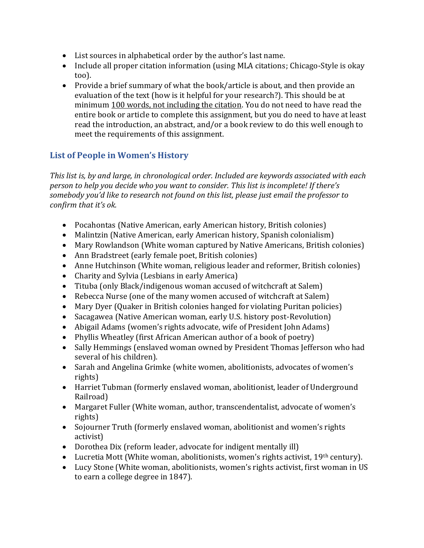- List sources in alphabetical order by the author's last name.
- Include all proper citation information (using MLA citations; Chicago-Style is okay too).
- Provide a brief summary of what the book/article is about, and then provide an evaluation of the text (how is it helpful for your research?). This should be at minimum 100 words, not including the citation. You do not need to have read the entire book or article to complete this assignment, but you do need to have at least read the introduction, an abstract, and/or a book review to do this well enough to meet the requirements of this assignment.

## **List of People in Women's History**

*This list is, by and large, in chronological order. Included are keywords associated with each person to help you decide who you want to consider. This list is incomplete! If there's somebody you'd like to research not found on this list, please just email the professor to confirm that it's ok.* 

- Pocahontas (Native American, early American history, British colonies)
- Malintzin (Native American, early American history, Spanish colonialism)
- Mary Rowlandson (White woman captured by Native Americans, British colonies)
- Ann Bradstreet (early female poet, British colonies)
- Anne Hutchinson (White woman, religious leader and reformer, British colonies)
- Charity and Sylvia (Lesbians in early America)
- Tituba (only Black/indigenous woman accused of witchcraft at Salem)
- Rebecca Nurse (one of the many women accused of witchcraft at Salem)
- Mary Dyer (Quaker in British colonies hanged for violating Puritan policies)
- Sacagawea (Native American woman, early U.S. history post-Revolution)
- Abigail Adams (women's rights advocate, wife of President John Adams)
- Phyllis Wheatley (first African American author of a book of poetry)
- Sally Hemmings (enslaved woman owned by President Thomas Jefferson who had several of his children).
- Sarah and Angelina Grimke (white women, abolitionists, advocates of women's rights)
- Harriet Tubman (formerly enslaved woman, abolitionist, leader of Underground Railroad)
- Margaret Fuller (White woman, author, transcendentalist, advocate of women's rights)
- Sojourner Truth (formerly enslaved woman, abolitionist and women's rights activist)
- Dorothea Dix (reform leader, advocate for indigent mentally ill)
- Lucretia Mott (White woman, abolitionists, women's rights activist, 19<sup>th</sup> century).
- Lucy Stone (White woman, abolitionists, women's rights activist, first woman in US to earn a college degree in 1847).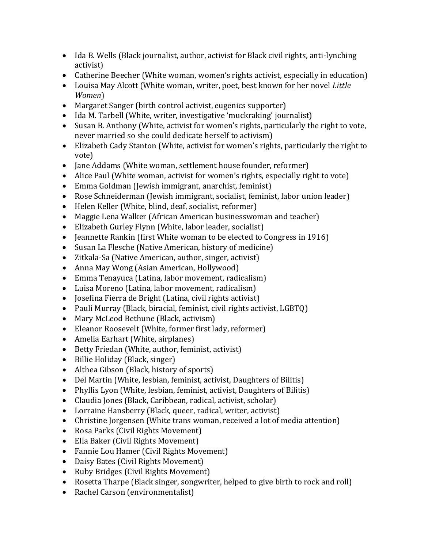- Ida B. Wells (Black journalist, author, activist for Black civil rights, anti-lynching activist)
- Catherine Beecher (White woman, women's rights activist, especially in education)
- Louisa May Alcott (White woman, writer, poet, best known for her novel *Little Women*)
- Margaret Sanger (birth control activist, eugenics supporter)
- Ida M. Tarbell (White, writer, investigative 'muckraking' journalist)
- Susan B. Anthony (White, activist for women's rights, particularly the right to vote, never married so she could dedicate herself to activism)
- Elizabeth Cady Stanton (White, activist for women's rights, particularly the right to vote)
- Jane Addams (White woman, settlement house founder, reformer)
- Alice Paul (White woman, activist for women's rights, especially right to vote)
- Emma Goldman (Jewish immigrant, anarchist, feminist)
- Rose Schneiderman (Jewish immigrant, socialist, feminist, labor union leader)
- Helen Keller (White, blind, deaf, socialist, reformer)
- Maggie Lena Walker (African American businesswoman and teacher)
- Elizabeth Gurley Flynn (White, labor leader, socialist)
- Jeannette Rankin (first White woman to be elected to Congress in 1916)
- Susan La Flesche (Native American, history of medicine)
- Zitkala-Sa (Native American, author, singer, activist)
- Anna May Wong (Asian American, Hollywood)
- Emma Tenayuca (Latina, labor movement, radicalism)
- Luisa Moreno (Latina, labor movement, radicalism)
- Josefina Fierra de Bright (Latina, civil rights activist)
- Pauli Murray (Black, biracial, feminist, civil rights activist, LGBTQ)
- Mary McLeod Bethune (Black, activism)
- Eleanor Roosevelt (White, former first lady, reformer)
- Amelia Earhart (White, airplanes)
- Betty Friedan (White, author, feminist, activist)
- Billie Holiday (Black, singer)
- Althea Gibson (Black, history of sports)
- Del Martin (White, lesbian, feminist, activist, Daughters of Bilitis)
- Phyllis Lyon (White, lesbian, feminist, activist, Daughters of Bilitis)
- Claudia Jones (Black, Caribbean, radical, activist, scholar)
- Lorraine Hansberry (Black, queer, radical, writer, activist)
- Christine Jorgensen (White trans woman, received a lot of media attention)
- Rosa Parks (Civil Rights Movement)
- Ella Baker (Civil Rights Movement)
- Fannie Lou Hamer (Civil Rights Movement)
- Daisy Bates (Civil Rights Movement)
- Ruby Bridges (Civil Rights Movement)
- Rosetta Tharpe (Black singer, songwriter, helped to give birth to rock and roll)
- Rachel Carson (environmentalist)